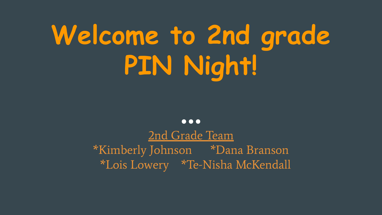# **Welcome to 2nd grade PIN Night!**

 $\bullet\bullet\bullet$ 

2nd Grade Team \*Kimberly Johnson \*Dana Branson \*Lois Lowery \*Te-Nisha McKendall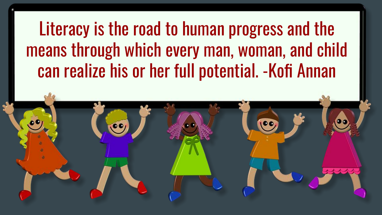Literacy is the road to human progress and the means through which every man, woman, and child can realize his or her full potential. -Kofi Annan

 $\bullet$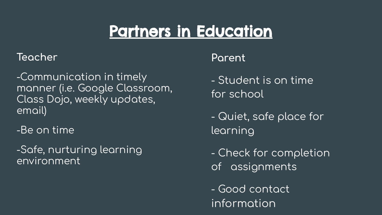## **Partners in Education**

#### Teacher

-Communication in timely manner (i.e. Google Classroom, Class Dojo, weekly updates. email)

-Be on time

-Safe, nurturing learning environment

### Parent

- Student is on time for school

- Quiet, safe place for learning

- Check for completion of assignments

- Good contact information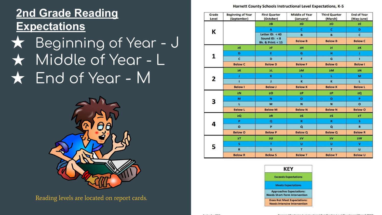### **2nd Grade Reading Expectations**

## $\star$  Beginning of Year - J ★ Middle of Year - L  $\star$  End of Year - M



Reading levels are located on report cards.

Harnett County Schools Instructional Level Expectations, K-5

| Grade<br>Level | <b>Beginning of Year</b><br>(September) | <b>First Quarter</b><br>(October)                  | <b>Middle of Year</b><br>(January) | <b>Third Quarter</b><br>(March) | <b>End of Year</b><br>(May-June) |
|----------------|-----------------------------------------|----------------------------------------------------|------------------------------------|---------------------------------|----------------------------------|
| ĸ              |                                         | $\geq$ B                                           | 2D                                 | 2D                              | >E                               |
|                |                                         | A                                                  | c                                  | c                               | D                                |
|                |                                         | Letter ID: $< 40$                                  | B                                  | B                               | $\mathbf c$                      |
|                |                                         | Sound ID: $< 8$<br><b>Bk. &amp; Print: &lt; 15</b> | <b>Below B</b>                     | <b>Below B</b>                  | <b>Below C</b>                   |
| 1              | 2E                                      | ≥F                                                 | $\geq$ H                           | $\geq$                          | $\geq K$                         |
|                | D                                       | Ε                                                  | G                                  | н                               | x                                |
|                | $\mathbf{c}$                            | D                                                  | F                                  | G                               | $\mathbf{I}$                     |
|                | <b>Below C</b>                          | <b>Below D</b>                                     | <b>Below F</b>                     | <b>Below G</b>                  | <b>Below I</b>                   |
| 2              | $\geq K$                                | $\geq$ L                                           | 2M                                 | 2M                              | 2N                               |
|                | ı                                       | $\mathbf K$                                        | х                                  | т                               | M                                |
|                | т                                       | J                                                  | $\mathbf{K}$                       | $\mathbf{K}$                    | L.                               |
|                | <b>Below I</b>                          | <b>Below J</b>                                     | <b>Below K</b>                     | <b>Below K</b>                  | <b>Below L</b>                   |
| 3              | $\geq N$                                | $\geq 0$                                           | $\geq P$                           | $\geq P$                        | 2Q                               |
|                | M                                       | N                                                  | $\bullet$                          | $\bullet$                       | P                                |
|                | L                                       | M                                                  | $\overline{N}$                     | $\overline{\mathbf{N}}$         | $\mathbf{o}$                     |
|                | <b>Below L</b>                          | <b>Below M</b>                                     | <b>Below N</b>                     | <b>Below N</b>                  | <b>Below O</b>                   |
| 4              | ≥Q                                      | $\geq R$                                           | $\geq$ S                           | $\geq$ S                        | $\Sigma$                         |
|                | P                                       | $\overline{\mathbf{Q}}$                            | $\mathbf R$                        | $\mathbf{R}$                    | s                                |
|                | $\mathbf{o}$                            | P                                                  | $\mathbf{Q}$                       | $\alpha$                        | $\overline{\mathbf{R}}$          |
|                | <b>Below O</b>                          | <b>Below P</b>                                     | <b>Below Q</b>                     | <b>Below Q</b>                  | <b>Below R</b>                   |
| 5              | 2T                                      | $\geq 0$                                           | $\geq$ V                           | $\square$                       | $\square$                        |
|                | s                                       | T                                                  | Ü                                  | Ü                               | v                                |
|                | $\mathbf R$                             | $\mathsf{s}$                                       | T                                  | T                               | $\mathbf{U}$                     |
|                | <b>Below R</b>                          | <b>Below S</b>                                     | <b>Below T</b>                     | <b>Below T</b>                  | <b>Below U</b>                   |

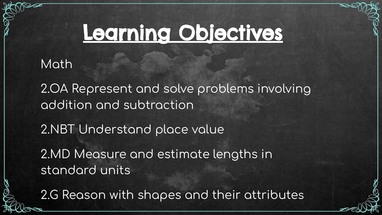## Learning Objectives

### Math

2.OA Represent and solve problems involving addition and subtraction

2.NBT Understand place value

2.MD Measure and estimate lengths in standard units

2.G Reason with shapes and their attributes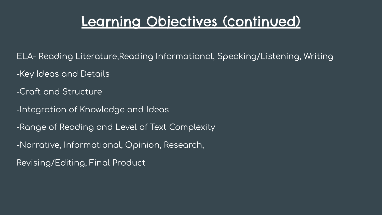### Learning Objectives (continued)

ELA- Reading Literature, Reading Informational, Speaking/Listening, Writing

- -Key Ideas and Details
- -Craft and Structure
- I-Integration of Knowledge and Ideas
- -Range of Reading and Level of Text Complexity
- -Narrative, Informational, Opinion, Research,
- Revising/Editing, Final Product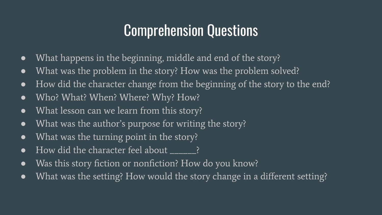## Comprehension Questions

- What happens in the beginning, middle and end of the story?
- What was the problem in the story? How was the problem solved?
- How did the character change from the beginning of the story to the end?
- Who? What? When? Where? Why? How?
- What lesson can we learn from this story?
- What was the author's purpose for writing the story?
- What was the turning point in the story?
- How did the character feel about \_\_\_\_\_\_?
- Was this story fiction or nonfiction? How do you know?
- What was the setting? How would the story change in a different setting?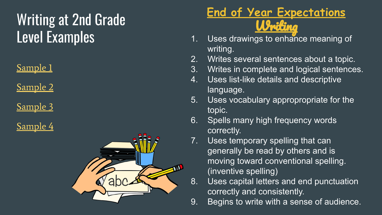## Writing at 2nd Grade Level Examples

[Sample 1](https://www.readingrockets.org/looking-at-writing/second-grade-writing-sample-1)

[Sample 2](https://www.readingrockets.org/looking-at-writing/second-grade-writing-sample-2)

[Sample 3](https://www.readingrockets.org/looking-at-writing/second-grade-writing-sample-3)

[Sample 4](https://www.readingrockets.org/looking-at-writing/second-grade-writing-sample-4)



### **End of Year Expectations** Writing

- 1. Uses drawings to enhance meaning of writing.
- 2. Writes several sentences about a topic.
- 3. Writes in complete and logical sentences.
- 4. Uses list-like details and descriptive language.
- 5. Uses vocabulary appropropriate for the topic.
- 6. Spells many high frequency words correctly.
- 7. Uses temporary spelling that can generally be read by others and is moving toward conventional spelling. (inventive spelling)
- 8. Uses capital letters and end punctuation correctly and consistently.
- 9. Begins to write with a sense of audience.